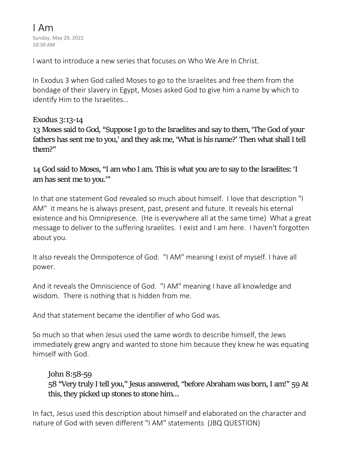#### I Am Sunday, May 29, 2022 10:30 AM

I want to introduce a new series that focuses on Who We Are In Christ.

In Exodus 3 when God called Moses to go to the Israelites and free them from the bondage of their slavery in Egypt, Moses asked God to give him a name by which to identify Him to the Israelites…

#### **Exodus 3:13-14**

**13** Moses said to God, "Suppose I go to the Israelites and say to them, 'The God of your fathers has sent me to you,' and they ask me, 'What is his name?' Then what shall I tell them?"

**14** God said to Moses, "I am who I am. This is what you are to say to the Israelites: 'I am has sent me to you.'"

In that one statement God revealed so much about himself. I love that description "I AM" it means he is always present, past, present and future. It reveals his eternal existence and his Omnipresence. (He is everywhere all at the same time) What a great message to deliver to the suffering Israelites. I exist and I am here. I haven't forgotten about you.

It also reveals the Omnipotence of God. "I AM" meaning I exist of myself. I have all power.

And it reveals the Omniscience of God. "I AM" meaning I have all knowledge and wisdom. There is nothing that is hidden from me.

And that statement became the identifier of who God was.

So much so that when Jesus used the same words to describe himself, the Jews immediately grew angry and wanted to stone him because they knew he was equating himself with God.

# **John 8:58-59 58** "Very truly I tell you," Jesus answered, "before Abraham was born, I am!" **59** At this, they picked up stones to stone him…

In fact, Jesus used this description about himself and elaborated on the character and nature of God with seven different "I AM" statements (JBQ QUESTION)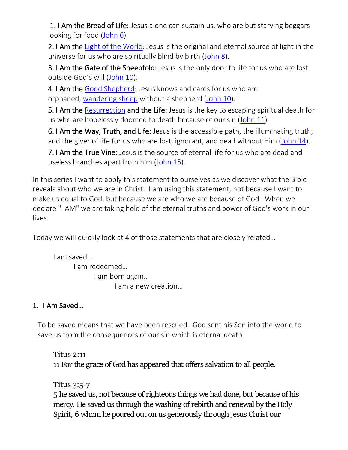1. I Am the Bread of Life: Jesus alone can sustain us, who are but starving beggars looking for food [\(John 6\)](http://www.christianity.com/bible/search/?ver=niv&q=john+6).

2. I Am the [Light of the World:](https://www.christianity.com/jesus/following-jesus/evangelism-and-missions/how-can-we-be-the-light-of-the-world.html) Jesus is the original and eternal source of light in the universe for us who are spiritually blind by birth [\(John 8\)](http://www.christianity.com/bible/search/?ver=niv&q=john+8).

**3. I Am the Gate of the Sheepfold:** Jesus is the only door to life for us who are lost outside God's will ([John 10\)](http://www.christianity.com/bible/search/?ver=niv&q=john+10).

4. I Am the [Good Shepherd:](https://www.christianity.com/wiki/jesus-christ/jesus-called-the-good-shepherd.html) Jesus knows and cares for us who are orphaned, [wandering](https://www.christianity.com/wiki/jesus-christ/what-does-it-mean-that-jesus-leaves-the-ninety-nine.html) sheep without a shepherd [\(John 10\)](http://www.christianity.com/bible/search/?ver=niv&q=john+10).

5. I Am the [Resurrection](https://www.christianity.com/jesus/death-and-resurrection/resurrection/) and the Life: Jesus is the key to escaping spiritual death for us who are hopelessly doomed to death because of our sin [\(John 11\)](http://www.christianity.com/bible/search/?ver=niv&q=john+11).

6. I Am the Way, Truth, and Life: Jesus is the accessible path, the illuminating truth, and the giver of life for us who are lost, ignorant, and dead without Him [\(John 14\)](http://www.christianity.com/bible/search/?ver=niv&q=john+14).

7. I Am the True Vine: Jesus is the source of eternal life for us who are dead and useless branches apart from him [\(John 15\)](http://www.christianity.com/bible/search/?ver=niv&q=john+15).

In this series I want to apply this statement to ourselves as we discover what the Bible reveals about who we are in Christ. I am using this statement, not because I want to make us equal to God, but because we are who we are because of God. When we declare "I AM" we are taking hold of the eternal truths and power of God's work in our lives

Today we will quickly look at 4 of those statements that are closely related…

I am saved… I am redeemed… I am born again… I am a new creation…

# 1. I Am Saved…

To be saved means that we have been rescued. God sent his Son into the world to save us from the consequences of our sin which is eternal death

**Titus 2:11 11** For the grace of God has appeared that offers salvation to all people.

**Titus 3:5-7**

**5** he saved us, not because of righteous things we had done, but because of his mercy. He saved us through the washing of rebirth and renewal by the Holy Spirit, **6** whom he poured out on us generously through Jesus Christ our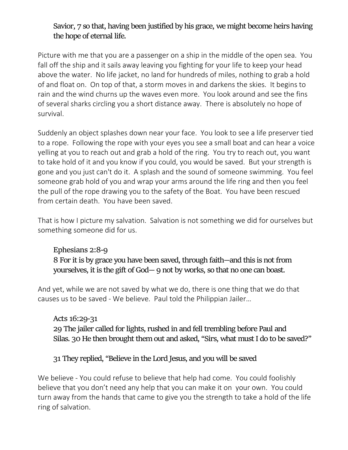# Savior, **7** so that, having been justified by his grace, we might become heirs having the hope of eternal life.

Picture with me that you are a passenger on a ship in the middle of the open sea. You fall off the ship and it sails away leaving you fighting for your life to keep your head above the water. No life jacket, no land for hundreds of miles, nothing to grab a hold of and float on. On top of that, a storm moves in and darkens the skies. It begins to rain and the wind churns up the waves even more. You look around and see the fins of several sharks circling you a short distance away. There is absolutely no hope of survival.

Suddenly an object splashes down near your face. You look to see a life preserver tied to a rope. Following the rope with your eyes you see a small boat and can hear a voice yelling at you to reach out and grab a hold of the ring. You try to reach out, you want to take hold of it and you know if you could, you would be saved. But your strength is gone and you just can't do it. A splash and the sound of someone swimming. You feel someone grab hold of you and wrap your arms around the life ring and then you feel the pull of the rope drawing you to the safety of the Boat. You have been rescued from certain death. You have been saved.

That is how I picture my salvation. Salvation is not something we did for ourselves but something someone did for us.

# **Ephesians 2:8-9 8** For it is by grace you have been saved, through faith—and this is not from yourselves, it is the gift of God— **9** not by works, so that no one can boast.

And yet, while we are not saved by what we do, there is one thing that we do that causes us to be saved - We believe. Paul told the Philippian Jailer…

**Acts 16:29-31 29** The jailer called for lights, rushed in and fell trembling before Paul and Silas. **30** He then brought them out and asked, "Sirs, what must I do to be saved?"

## **31** They replied, "Believe in the Lord Jesus, and you will be saved

We believe - You could refuse to believe that help had come. You could foolishly believe that you don't need any help that you can make it on your own. You could turn away from the hands that came to give you the strength to take a hold of the life ring of salvation.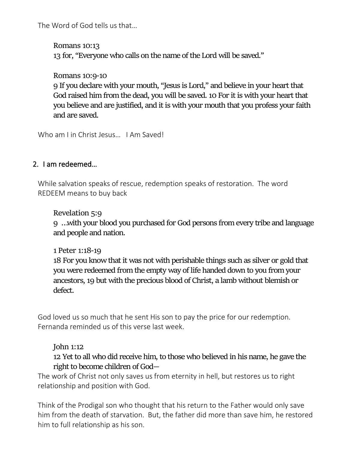The Word of God tells us that…

**Romans 10:13 13** for, "Everyone who calls on the name of the Lord will be saved."

**Romans 10:9-10**

**9** If you declare with your mouth, "Jesus is Lord," and believe in your heart that God raised him from the dead, you will be saved. **10** For it is with your heart that you believe and are justified, and it is with your mouth that you profess your faith and are saved.

Who am I in Christ Jesus... I Am Saved!

## 2. I am redeemed…

While salvation speaks of rescue, redemption speaks of restoration. The word REDEEM means to buy back

**Revelation 5:9**

**9** …with your blood you purchased for God persons from every tribe and language and people and nation.

**1 Peter 1:18-19**

**18** For you know that it was not with perishable things such as silver or gold that you were redeemed from the empty way of life handed down to you from your ancestors, **19** but with the precious blood of Christ, a lamb without blemish or defect.

God loved us so much that he sent His son to pay the price for our redemption. Fernanda reminded us of this verse last week.

#### **John 1:12**

## **12** Yet to all who did receive him, to those who believed in his name, he gave the right to become children of God—

The work of Christ not only saves us from eternity in hell, but restores us to right relationship and position with God.

Think of the Prodigal son who thought that his return to the Father would only save him from the death of starvation. But, the father did more than save him, he restored him to full relationship as his son.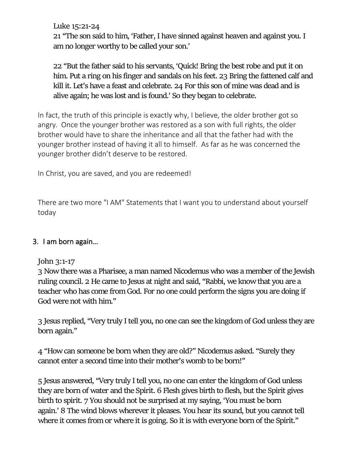**Luke 15:21-24**

**21** "The son said to him, 'Father, I have sinned against heaven and against you. I am no longer worthy to be called your son.'

**22** "But the father said to his servants, 'Quick! Bring the best robe and put it on him. Put a ring on his finger and sandals on his feet. **23** Bring the fattened calf and kill it. Let's have a feast and celebrate. **24** For this son of mine was dead and is alive again; he was lost and is found.' So they began to celebrate.

In fact, the truth of this principle is exactly why, I believe, the older brother got so angry. Once the younger brother was restored as a son with full rights, the older brother would have to share the inheritance and all that the father had with the younger brother instead of having it all to himself. As far as he was concerned the younger brother didn't deserve to be restored.

In Christ, you are saved, and you are redeemed!

There are two more "I AM" Statements that I want you to understand about yourself today

# 3. I am born again…

# **John 3:1-17**

**3** Now there was a Pharisee, a man named Nicodemus who was a member of the Jewish ruling council. **2** He came to Jesus at night and said, "Rabbi, we know that you are a teacher who has come from God. For no one could perform the signs you are doing if God were not with him."

**3** Jesus replied, "Very truly I tell you, no one can see the kingdom of God unless they are born again."

**4** "How can someone be born when they are old?" Nicodemus asked. "Surely they cannot enter a second time into their mother's womb to be born!"

**5** Jesus answered, "Very truly I tell you, no one can enter the kingdom of God unless they are born of water and the Spirit. **6** Flesh gives birth to flesh, but the Spirit gives birth to spirit. **7** You should not be surprised at my saying, 'You must be born again.' **8** The wind blows wherever it pleases. You hear its sound, but you cannot tell where it comes from or where it is going. So it is with everyone born of the Spirit."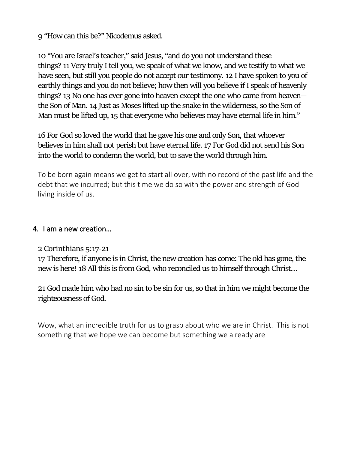**9** "How can this be?" Nicodemus asked.

**10** "You are Israel's teacher," said Jesus, "and do you not understand these things? **11** Very truly I tell you, we speak of what we know, and we testify to what we have seen, but still you people do not accept our testimony. **12** I have spoken to you of earthly things and you do not believe; how then will you believe if I speak of heavenly things? **13** No one has ever gone into heaven except the one who came from heaven the Son of Man. **14** Just as Moses lifted up the snake in the wilderness, so the Son of Man must be lifted up, **15** that everyone who believes may have eternal life in him."

**16** For God so loved the world that he gave his one and only Son, that whoever believes in him shall not perish but have eternal life. **17** For God did not send his Son into the world to condemn the world, but to save the world through him.

To be born again means we get to start all over, with no record of the past life and the debt that we incurred; but this time we do so with the power and strength of God living inside of us.

#### 4. I am a new creation…

#### **2 Corinthians 5:17-21**

**17** Therefore, if anyone is in Christ, the new creation has come: The old has gone, the new is here! **18** All this is from God, who reconciled us to himself through Christ…

**21** God made him who had no sin to be sin for us, so that in him we might become the righteousness of God.

Wow, what an incredible truth for us to grasp about who we are in Christ. This is not something that we hope we can become but something we already are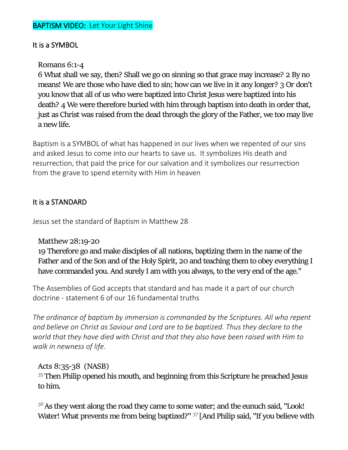#### It is a SYMBOL

#### **Romans 6:1-4**

**6** What shall we say, then? Shall we go on sinning so that grace may increase? **2** By no means! We are those who have died to sin; how can we live in it any longer? **3** Or don't you know that all of us who were baptized into Christ Jesus were baptized into his death? **4** We were therefore buried with him through baptism into death in order that, just as Christ was raised from the dead through the glory of the Father, we too may live a new life.

Baptism is a SYMBOL of what has happened in our lives when we repented of our sins and asked Jesus to come into our hearts to save us. It symbolizes His death and resurrection, that paid the price for our salvation and it symbolizes our resurrection from the grave to spend eternity with Him in heaven

## It is a STANDARD

Jesus set the standard of Baptism in Matthew 28

**Matthew 28:19-20**

**19** Therefore go and make disciples of all nations, baptizing them in the name of the Father and of the Son and of the Holy Spirit, **20** and teaching them to obey everything I have commanded you. And surely I am with you always, to the very end of the age."

The Assemblies of God accepts that standard and has made it a part of our church doctrine - statement 6 of our 16 fundamental truths

*The ordinance of baptism by immersion is commanded by the Scriptures. All who repent and believe on Christ as Saviour and Lord are to be baptized. Thus they declare to the world that they have died with Christ and that they also have been raised with Him to walk in newness of life.*

**Acts 8:35-38 (NASB) <sup>35</sup>**Then Philip opened his mouth, and beginning from this Scripture he preached Jesus to him.

**<sup>36</sup>**As they went along the road they came to some water; and the eunuch said, "Look! Water! What prevents me from being baptized?" **37** [And Philip said, "If you believe with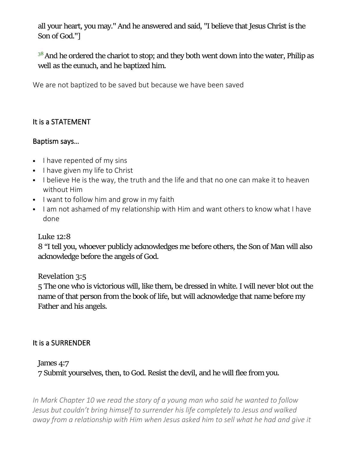all your heart, you may." And he answered and said, "I believe that Jesus Christ is the Son of God."]

**<sup>38</sup>**And he ordered the chariot to stop; and they both went down into the water, Philip as well as the eunuch, and he baptized him.

We are not baptized to be saved but because we have been saved

## It is a STATEMENT

#### Baptism says…

- I have repented of my sins
- I have given my life to Christ
- I believe He is the way, the truth and the life and that no one can make it to heaven without Him
- I want to follow him and grow in my faith
- I am not ashamed of my relationship with Him and want others to know what I have done

#### **Luke 12:8**

**8** "I tell you, whoever publicly acknowledges me before others, the Son of Man will also acknowledge before the angels of God.

#### **Revelation 3:5**

**5** The one who is victorious will, like them, be dressed in white. I will never blot out the name of that person from the book of life, but will acknowledge that name before my Father and his angels.

## It is a SURRENDER

#### James 4:7

**7** Submit yourselves, then, to God. Resist the devil, and he will flee from you.

*In Mark Chapter 10 we read the story of a young man who said he wanted to follow Jesus but couldn't bring himself to surrender his life completely to Jesus and walked away from a relationship with Him when Jesus asked him to sell what he had and give it*